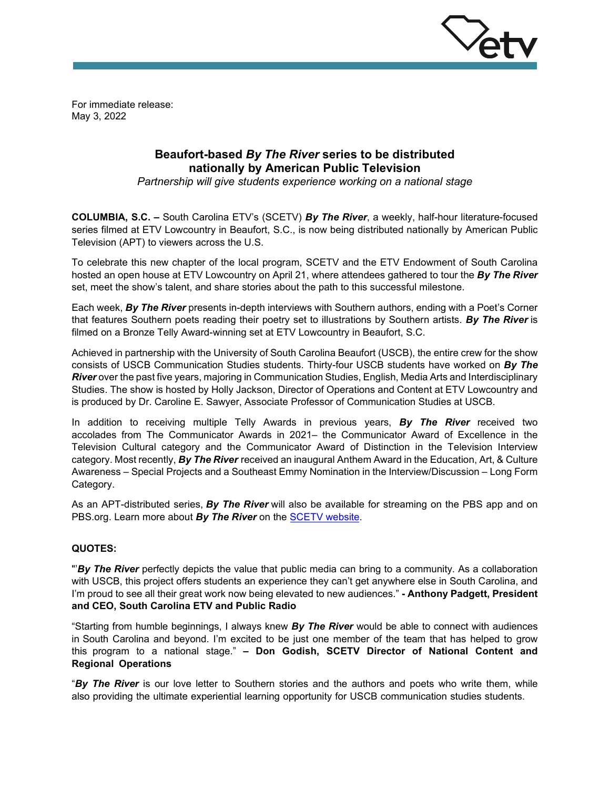

For immediate release: May 3, 2022

# **Beaufort-based** *By The River* **series to be distributed nationally by American Public Television**

*Partnership will give students experience working on a national stage*

**COLUMBIA, S.C. –** South Carolina ETV's (SCETV) *By The River*, a weekly, half-hour literature-focused series filmed at ETV Lowcountry in Beaufort, S.C., is now being distributed nationally by American Public Television (APT) to viewers across the U.S.

To celebrate this new chapter of the local program, SCETV and the ETV Endowment of South Carolina hosted an open house at ETV Lowcountry on April 21, where attendees gathered to tour the *By The River* set, meet the show's talent, and share stories about the path to this successful milestone.

Each week, *By The River* presents in-depth interviews with Southern authors, ending with a Poet's Corner that features Southern poets reading their poetry set to illustrations by Southern artists. *By The River* is filmed on a Bronze Telly Award-winning set at ETV Lowcountry in Beaufort, S.C.

Achieved in partnership with the University of South Carolina Beaufort (USCB), the entire crew for the show consists of USCB Communication Studies students. Thirty-four USCB students have worked on *By The River* over the past five years, majoring in Communication Studies, English, Media Arts and Interdisciplinary Studies. The show is hosted by Holly Jackson, Director of Operations and Content at ETV Lowcountry and is produced by Dr. Caroline E. Sawyer, Associate Professor of Communication Studies at USCB.

In addition to receiving multiple Telly Awards in previous years, *By The River* received two accolades from The Communicator Awards in 2021– the Communicator Award of Excellence in the Television Cultural category and the Communicator Award of Distinction in the Television Interview category. Most recently, *By The River* received an inaugural Anthem Award in the Education, Art, & Culture Awareness – Special Projects and a Southeast Emmy Nomination in the Interview/Discussion – Long Form Category.

As an APT-distributed series, *By The River* will also be available for streaming on the PBS app and on PBS.org. Learn more about *By The River* on the [SCETV website.](https://www.scetv.org/watch/by-the-river)

## **QUOTES:**

"'*By The River* perfectly depicts the value that public media can bring to a community. As a collaboration with USCB, this project offers students an experience they can't get anywhere else in South Carolina, and I'm proud to see all their great work now being elevated to new audiences." **- Anthony Padgett, President and CEO, South Carolina ETV and Public Radio**

"Starting from humble beginnings, I always knew *By The River* would be able to connect with audiences in South Carolina and beyond. I'm excited to be just one member of the team that has helped to grow this program to a national stage." **– Don Godish, SCETV Director of National Content and Regional Operations**

"*By The River* is our love letter to Southern stories and the authors and poets who write them, while also providing the ultimate experiential learning opportunity for USCB communication studies students.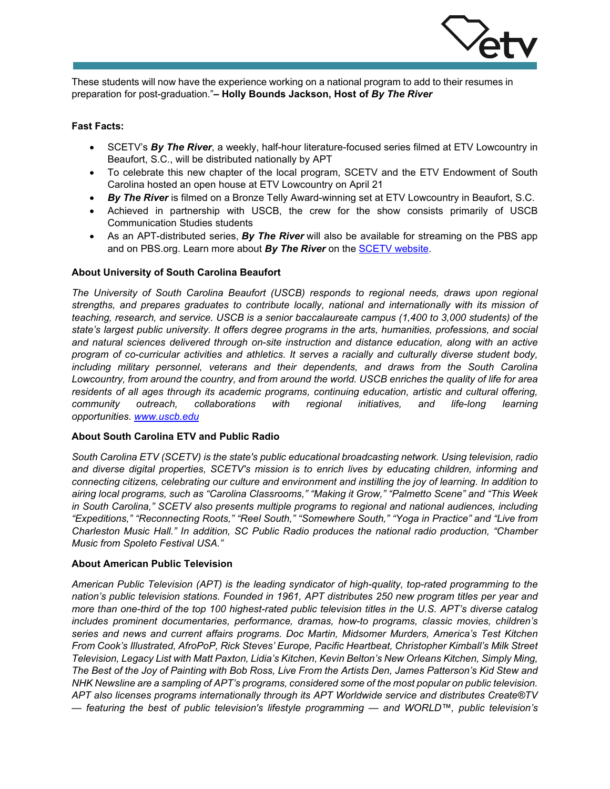

These students will now have the experience working on a national program to add to their resumes in preparation for post-graduation."**– Holly Bounds Jackson, Host of** *By The River* 

### **Fast Facts:**

- SCETV's *By The River*, a weekly, half-hour literature-focused series filmed at ETV Lowcountry in Beaufort, S.C., will be distributed nationally by APT
- To celebrate this new chapter of the local program, SCETV and the ETV Endowment of South Carolina hosted an open house at ETV Lowcountry on April 21
- *By The River* is filmed on a Bronze Telly Award-winning set at ETV Lowcountry in Beaufort, S.C.
- Achieved in partnership with USCB, the crew for the show consists primarily of USCB Communication Studies students
- As an APT-distributed series, *By The River* will also be available for streaming on the PBS app and on PBS.org. Learn more about *By The River* on the [SCETV website.](https://www.scetv.org/watch/by-the-river)

## **About University of South Carolina Beaufort**

*The University of South Carolina Beaufort (USCB) responds to regional needs, draws upon regional strengths, and prepares graduates to contribute locally, national and internationally with its mission of teaching, research, and service. USCB is a senior baccalaureate campus (1,400 to 3,000 students) of the state's largest public university. It offers degree programs in the arts, humanities, professions, and social and natural sciences delivered through on-site instruction and distance education, along with an active program of co-curricular activities and athletics. It serves a racially and culturally diverse student body, including military personnel, veterans and their dependents, and draws from the South Carolina Lowcountry, from around the country, and from around the world. USCB enriches the quality of life for area residents of all ages through its academic programs, continuing education, artistic and cultural offering, community outreach, collaborations with regional initiatives, and life-long learning opportunities. [www.uscb.edu](http://www.uscb.edu/)*

#### **About South Carolina ETV and Public Radio**

*South Carolina ETV (SCETV) is the state's public educational broadcasting network. Using television, radio and diverse digital properties, SCETV's mission is to enrich lives by educating children, informing and connecting citizens, celebrating our culture and environment and instilling the joy of learning. In addition to airing local programs, such as "Carolina Classrooms," "Making it Grow," "Palmetto Scene" and "This Week in South Carolina," SCETV also presents multiple programs to regional and national audiences, including "Expeditions," "Reconnecting Roots," "Reel South," "Somewhere South," "Yoga in Practice" and "Live from Charleston Music Hall." In addition, SC Public Radio produces the national radio production, "Chamber Music from Spoleto Festival USA."*

#### **About American Public Television**

*American Public Television (APT) is the leading syndicator of high-quality, top-rated programming to the nation's public television stations. Founded in 1961, APT distributes 250 new program titles per year and more than one-third of the top 100 highest-rated public television titles in the U.S. APT's diverse catalog includes prominent documentaries, performance, dramas, how-to programs, classic movies, children's series and news and current affairs programs. Doc Martin, Midsomer Murders, America's Test Kitchen From Cook's Illustrated, AfroPoP, Rick Steves' Europe, Pacific Heartbeat, Christopher Kimball's Milk Street Television, Legacy List with Matt Paxton, Lidia's Kitchen, Kevin Belton's New Orleans Kitchen, Simply Ming, The Best of the Joy of Painting with Bob Ross, Live From the Artists Den, James Patterson's Kid Stew and NHK Newsline are a sampling of APT's programs, considered some of the most popular on public television. APT also licenses programs internationally through its APT Worldwide service and distributes Create®TV — featuring the best of public television's lifestyle programming — and WORLD™, public television's*